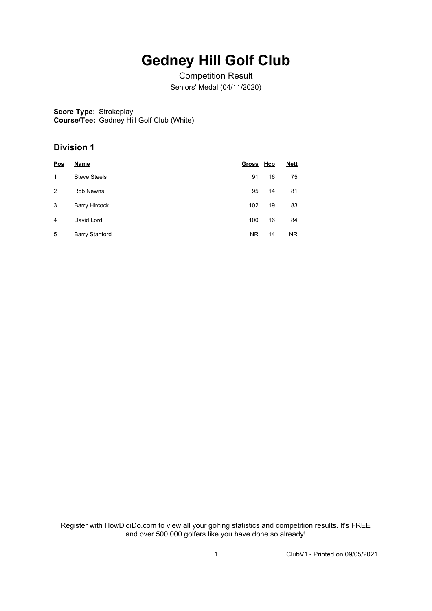# **Gedney Hill Golf Club**

Competition Result Seniors' Medal (04/11/2020)

**Score Type:** Strokeplay **Course/Tee:** Gedney Hill Golf Club (White)

### **Division 1**

| Pos | Name                  | Gross Hcp |    | <b>Nett</b> |
|-----|-----------------------|-----------|----|-------------|
| 1   | <b>Steve Steels</b>   | 91        | 16 | 75          |
| 2   | Rob Newns             | 95        | 14 | 81          |
| 3   | <b>Barry Hircock</b>  | 102       | 19 | 83          |
| 4   | David Lord            | 100       | 16 | 84          |
| 5   | <b>Barry Stanford</b> | <b>NR</b> | 14 | <b>NR</b>   |

Register with HowDidiDo.com to view all your golfing statistics and competition results. It's FREE and over 500,000 golfers like you have done so already!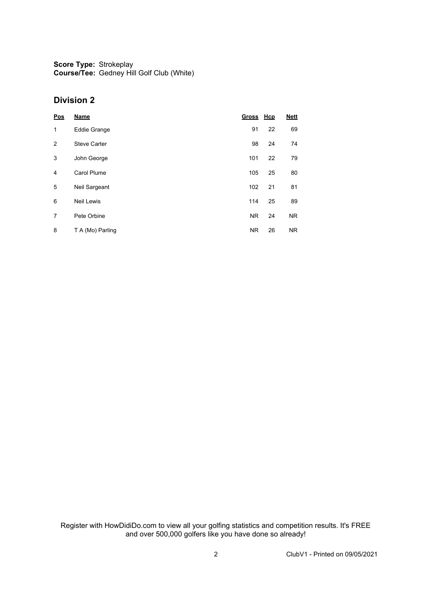**Score Type:** Strokeplay **Course/Tee:** Gedney Hill Golf Club (White)

#### **Division 2**

| Pos            | <b>Name</b>         | Gross Hcp |    | <b>Nett</b> |
|----------------|---------------------|-----------|----|-------------|
| 1              | <b>Eddie Grange</b> | 91        | 22 | 69          |
| $\overline{2}$ | <b>Steve Carter</b> | 98        | 24 | 74          |
| 3              | John George         | 101       | 22 | 79          |
| 4              | <b>Carol Plume</b>  | 105       | 25 | 80          |
| 5              | Neil Sargeant       | 102       | 21 | 81          |
| 6              | <b>Neil Lewis</b>   | 114       | 25 | 89          |
| 7              | Pete Orbine         | <b>NR</b> | 24 | <b>NR</b>   |
| 8              | T A (Mo) Parling    | <b>NR</b> | 26 | <b>NR</b>   |

Register with HowDidiDo.com to view all your golfing statistics and competition results. It's FREE and over 500,000 golfers like you have done so already!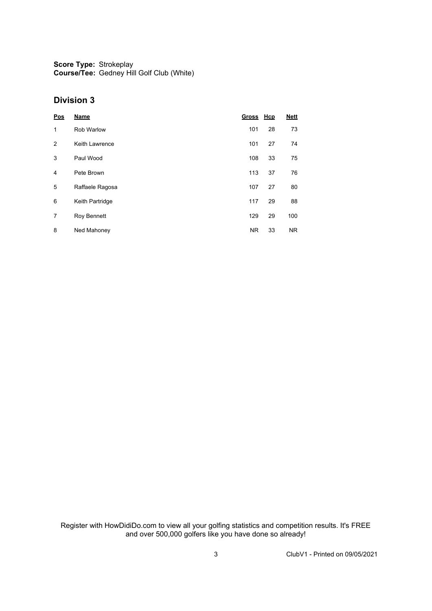**Score Type:** Strokeplay **Course/Tee:** Gedney Hill Golf Club (White)

#### **Division 3**

| Pos | <b>Name</b>       | Gross Hcp |    | <b>Nett</b> |
|-----|-------------------|-----------|----|-------------|
| 1   | <b>Rob Warlow</b> | 101       | 28 | 73          |
| 2   | Keith Lawrence    | 101       | 27 | 74          |
| 3   | Paul Wood         | 108       | 33 | 75          |
| 4   | Pete Brown        | 113       | 37 | 76          |
| 5   | Raffaele Ragosa   | 107       | 27 | 80          |
| 6   | Keith Partridge   | 117       | 29 | 88          |
| 7   | Roy Bennett       | 129       | 29 | 100         |
| 8   | Ned Mahoney       | <b>NR</b> | 33 | <b>NR</b>   |

Register with HowDidiDo.com to view all your golfing statistics and competition results. It's FREE and over 500,000 golfers like you have done so already!